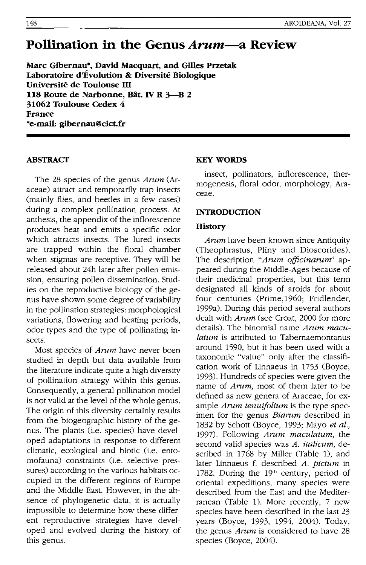# **Pollination in the Genus** *Arum-a* **Review**

**Marc Gibernau\*, David Macquart, and Gilles Przetak Laboratoire d'Evolution & Diversite Biologique Université de Toulouse III 118 Route de Narbonne, Bat. IV R 3-B 2 31062 Toulouse Cedex** 4 **France \*e-mail: gibernau@cict.fr** 

## **ABSTRACT**

The 28 species of the genus *Arum* (Araceae) attract and temporarily trap insects (mainly flies, and beetles in a few cases) during a complex pollination process. At anthesis, the appendix of the inflorescence produces heat and emits a specific odor which attracts insects. The lured insects are trapped within the floral chamber when stigmas are receptive. They will be released about 24h later after pollen emission, ensuring pollen dissemination. Studies on the reproductive biology of the genus have shown some degree of variability in the pollination strategies: morphological variations, flowering and heating periods, odor types and the type of pollinating insects.

Most species of *Arum* have never been studied in depth but data available from the literature indicate quite a high diversity of pollination strategy within this genus. Consequently, a general pollination model is not valid at the level of the whole genus. The origin of this diversity certainly results from the biogeographic history of the genus. The plants (i.e. species) have developed adaptations in response to different climatic, ecological and biotic (i.e. entomofauna) constraints (i.e. selective pressures) according to the various habitats occupied in the different regions of Europe and the Middle East. However, in the absence of phylogenetic data, it is actually impossible to determine how these different reproductive strategies have developed and evolved during the history of this genus.

#### **KEY WORDS**

insect, pollinators, inflorescence, thermogenesis, floral odor, morphology, Araceae.

#### **INTRODUCTION**

#### **History**

*Arum* have been known since Antiquity (Theophrastus, Pliny and Dioscorides). The description *"Arum oificinarum"* appeared during the Middle-Ages because of their medicinal properties, but this term designated all kinds of aroids for about four centuries (Prime,1960; Fridlender, 1999a). During this period several authors dealt with *Arum* (see Croat, 2000 for more details). The binomial name *Arum maculatum* is attributed to Tabernaemontanus around 1590, but it has been used with a taxonomic "value" only after the classification work of Linnaeus in 1753 (Boyce, 1993). Hundreds of species were given the name of *Arum,* most of them later to be defined as new genera of Araceae, for example *Arum tenuifolium* is the type specimen for the genus *Biarum* described in 1832 by Schott (Boyce, 1993; Mayo *et al.,*  1997). Following *Arum maculatum,* the second valid species was *A. italicum,* described in 1768 by Miller (Table 1), and later Linnaeus f. described *A. pictum* in 1782. During the 19'h century, period of oriental expeditions, many species were described from the East and the Mediterranean (Table 1). More recently, 7 new species have been described in the last 23 years (Boyce, 1993, 1994, 2004). Today, the genus *Arum* is considered to have 28 species (Boyce, 2004).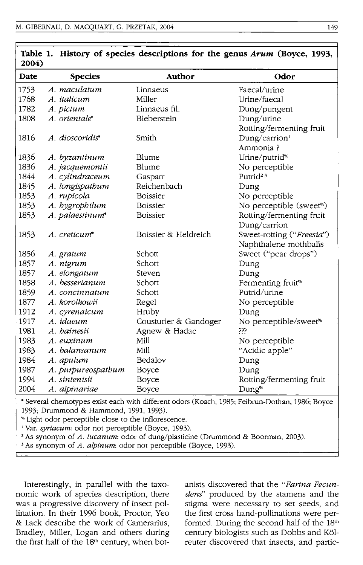| 2004)         |                    |                        |                                              |
|---------------|--------------------|------------------------|----------------------------------------------|
| Date          | <b>Species</b>     | Author                 | Odor                                         |
| 1753          | A. maculatum       | Linnaeus               | Faecal/urine                                 |
| 1768          | A. italicum        | Miller                 | Urine/faecal                                 |
| 1782          | A. pictum          | Linnaeus fil.          | Dung/pungent                                 |
| 1808          | A. orientale*      | Bieberstein            | Dung/urine                                   |
|               |                    |                        | Rotting/fermenting fruit                     |
| 1816          | A. dioscoridis*    | Smith                  | Dung/carrion <sup>1</sup>                    |
|               |                    |                        | Ammonia?                                     |
| 1836          | A. byzantinum      | Blume                  | Urine/putrid <sup>%</sup>                    |
| 1836          | A. jacquemontii    | Blume                  | No perceptible                               |
| 1844          | A. cylindraceum    | Gasparr                | Putrid <sup>23</sup>                         |
| 1845          | A. longispathum    | Reichenbach            | Dung                                         |
| 1853          | A. rupicola        | <b>Boissier</b>        | No perceptible                               |
| 1853          | A. hygrophilum     | <b>Boissier</b>        | No perceptible (sweet <sup>%</sup> )         |
| 1853          | A. palaestinum*    | <b>Boissier</b>        | Rotting/fermenting fruit                     |
|               |                    |                        | Dung/carrion                                 |
| 1853          | A. creticum*       | Boissier & Heldreich   | Sweet-rotting ("Freesia")                    |
|               |                    |                        | Naphthalene mothballs                        |
| 1856          | A. gratum          | Schott                 | Sweet ("pear drops")                         |
| 1857          | A. nigrum          | Schott                 | Dung                                         |
| 1857          | A. elongatum       | Steven                 | Dung                                         |
| 1858          | A. besserianum     | Schott                 | Fermenting fruit <sup>%</sup>                |
| 1859          | A. concinnatum     | Schott                 | Putrid/urine                                 |
| 1877          | A. korolkowii      | Regel                  | No perceptible                               |
| 1912          | A. cyrenaicum      | Hruby                  | Dung                                         |
| 1917          | A. idaeum          | Cousturier & Gandoger  | No perceptible/sweet <sup>%</sup>            |
| 1981          | A. hainesii        | Agnew & Hadac          | ???                                          |
| 1983          | A. euxinum         | Mill                   | No perceptible                               |
| 1983          | A. balansanum      | Mill                   | "Acidic apple"                               |
| 1984          | A. apulum          | Bedalov                | Dung                                         |
| 1987          | A. purpureospathum | Boyce                  | Dung                                         |
| 1994          | A. sintenisii      | Boyce                  | Rotting/fermenting fruit                     |
| 2004          | A. alpinariae      | Boyce                  | Dung <sup>%</sup>                            |
| $\sim$ $\sim$ | $1 - 1$            | $1.1 - 1.00$<br>$\sim$ | $1002$ m $11$<br>$\sim$ $\sim$ $\sim$ $\sim$ |

**Table 1. History of species descriptions for the genus Arum (Boyce, 1993,** 

• Several chemotypes exist each with different odors (Koach, 1985; Feibrun-Dothan, 1986; Boyce 1993; Drummond & Hammond, 1991, 1993).

% Light odor perceptible close to the inflorescence.

<sup>1</sup> Var. *syriacum*: odor not perceptible (Boyce, 1993).

2 As synonym of *A. lucanum:* odor of dung/plasticine (Drummond & Boorman, 2003).

3 As synonym of *A. alpinum:* odor not perceptible (Boyce, 1993).

Interestingly, in parallel with the taxonomic work of species description, there was a progressive discovery of insect pollination. In their 1996 book, Proctor, Yeo & Lack describe the work of Camerarius, Bradley, Miller, Logan and others during the first half of the 18<sup>th</sup> century, when botanists discovered that the *"Farina FecundenS'* produced by the stamens and the stigma were necessary to set seeds, and the first cross hand-pollinations were performed. During the second half of the 18th century biologists such as Dobbs and K61 reuter discovered that insects, and partic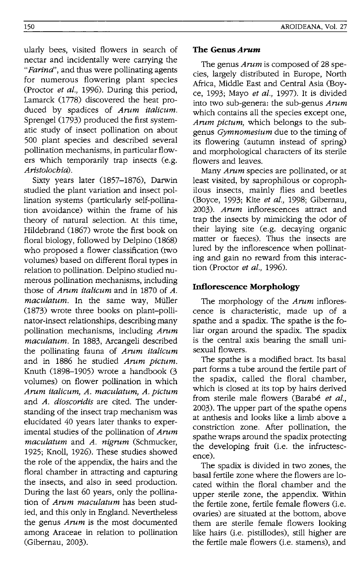ularly bees, visited flowers in search of nectar and incidentally were carrying the *"Farina",* and thus were pollinating agents for numerous flowering plant species (Proctor *et al.,* 1996). During this period, Lamarck (1778) discovered the heat produced by spadices of *Arum italicum.*  Sprengel (1793) produced the first systematic study of insect pollination on about 500 plant species and described several pollination mechanisms, in particular flowers which temporarily trap insects (e.g. *Aristolocbia).* 

Sixty years later (1857-1876), Darwin studied the plant variation and insect pollination systems (particularly self-pollination avoidance) within the frame of his theory of natural selection. At this time, Hildebrand (1867) wrote the first book on floral biology, followed by Delpino (1868) who proposed a flower classification (two volumes) based on different floral types in relation to pollination. Delpino studied numerous pollination mechanisms, including those of *Arum italicum* and in 1870 of *A.*  maculatum. In the same way, Müller (1873) wrote three books on plant-pollinator-insect relationships, describing many pollination mechanisms, including *Arum macutatum.* In 1883, Arcangeli described the pollinating fauna of *Arum italicum*  and in 1886 he studied *Arum pictum.*  Knuth (1898-1905) wrote a handbook (3 volumes) on flower pollination in which *Arum italicum, A. maculatum, A. pictum*  and *A. dioscoridis* are cited. The understanding of the insect trap mechanism was elucidated 40 years later thanks to experimental studies of the pollination of *Arum maculatum* and *A. nigrum* (Schmucker, 1925; Knoll, 1926). These studies showed the role of the appendix, the hairs and the floral chamber in attracting and capturing the insects, and also in seed production. During the last 60 years, only the pollination of *Arum macutatum* has been studied, and this only in England. Nevertheless the genus *Arum* is the most documented among Araceae in relation to pollination (Gibernau, 2003).

#### **The Genus Arum**

The genus *Arum* is composed of 28 species, largely distributed in Europe, North Africa, Middle East and Central Asia (Boyce, 1993; Mayo *et at.,* 1997). It is divided into two sub-genera: the sub-genus *Arum*  which contains all the species except one, *Arum pictum,* which belongs to the subgenus *Gymnomesium* due to the timing of its flowering (autumn instead of spring) and morphological characters of its sterile flowers and leaves.

Many *Arum* species are pollinated, or at least visited, by saprophilous or coprophilous insects, mainly flies and beetles (Boyce, 1993; Kite *et at.,* 1998; Gibernau, *2003). Arum* inflorescences attract and trap the insects by mimicking the odor of their laying site (e.g. decaying organic matter or faeces). Thus the insects are lured by the inflorescence when pollinating and gain no reward from this interaction (Proctor *et at.,* 1996).

# **Inflorescence Morphology**

The morphology of the *Arum* inflorescence is characteristic, made up of a spathe and a spadix. The spathe is the foliar organ around the spadix. The spadix is the central axis bearing the small unisexual flowers.

The spathe is a modified bract. Its basal part forms a tube around the fertile part of the spadix, called the floral chamber, which is closed at its top by hairs derived from sterile male flowers (Barabé et al., 2003). The upper part of the spathe opens at anthesis and looks like a limb above a constriction zone. After pollination, the spathe wraps around the spadix protecting the developing fruit (i.e. the infructescence).

The spadix is divided in two zones, the basal fertile zone where the flowers are located within the floral chamber and the upper sterile zone, the appendix. Within the fertile zone, fertile female flowers (i.e. ovaries) are situated at the bottom, above them are sterile female flowers looking like hairs (i.e. pistillodes), still higher are the fertile male flowers (i.e. stamens), and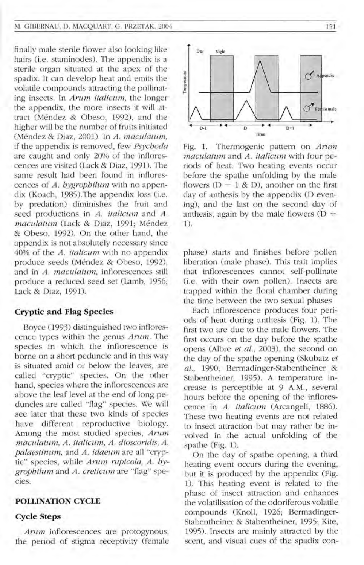#### M. GIBERNAU, D. MACOUART, G. PRZETAK, 2004

finally male sterile flower also looking like hairs (i.e. staminodes). The appendix is a sterile organ situated at the apex of the spadix. It can develop heat and emits the volatile compounds attracting the pollinating insects. In *Arum italicum*, the longer the appendix, the more insects it will attract (Mendez & Obeso, 1992), and the higher will be the number of fruits initiated (Mendez & Diaz, 2001). In *A. maeulatwn,*  if the appendix is removed, few *Psyehoda*  are caught and only 20% of the inflorescences are visited (Lack & Diaz, 1991). The same result had been found in inflorescences of *A. hygrophilum* with no appendix (Koach, 1985). The appendix loss (i.e. by predation) diminishes the fruit and seed productions in A. *italleum* and *A. maeulatum* (Lack & Diaz, 1991; Mendez & Obeso, 1992). On the other hand, the appendix is not absolutely necessary since 40% of the *A. italieum* with no appendix produce seeds (Mendez & Obeso, 1992), and in *A. maculatum*, inflorescences still produce a reduced seed set (Lamb, 1956; Lack & Diaz, 1991).

#### **Cryptic and Flag Species**

Boyce (1993) distinguished two inflorescence types within the genus *Arum*. The species in which the inflorescence is borne on a short peduncle and in this way is situated amid or below the leaves, are called "cryptic" species. On the other hand, species where the inflorescences are above the leaf level at the end of long peduncles are called "flag" species. We will see later that these two kinds of species have different reproductive biology. Among the most studied species, *Arum macula tum, A. italicum, A. dioscoridis, A. palaestinum,* and *A. idaeum* are all "cryptic" species, while *Arum rupicola*, *A. bygmphilum* and *A. cretieum* are "flag" species.

#### **POLLINATION CYCLE**

#### **Cycle Steps**

*Arum* inflorescences are protogynous: the period of stigma receptivity (female



Fig. 1. Thermogenic pattern on *Arum maeulatum* and *A. italicum* with four periods of heat. Two heating events occur before the spathe unfolding by the male flowers  $(D - 1 & D)$ , another on the first day of anthesis by the appendix (D evening), and the last on the second day of anthesis, again by the male flowers  $(D +$ 1).

phase) starts and finishes before pollen liberation (male phase). This trait implies that inflorescences cannot self-pollinate (i.e. with their own pollen). Insects are trapped within the floral chamber during the time between the two sexual phases

Each inflorescence produces four periods of heat during anthesis (Fig. 1). The first two are due to the male flowers. The first occurs on the day before the spathe o pens (Albre *et al.,* 2003), the second on the day of the spathe opening (Skubatz *et al.,* 1990; Bermadinger-Stabentheiner & Stabentheiner, 1995). A temperature increase is perceptible at 9 A.M., several hours before the opening of the inflorescence in *A. italicum* (Arcangeli, 1886). These two heating events are not related to insect attraction but may rather be involved in the actual unfolding of the spathe (Fig. 1).

On the day of spathe opening, a third heating event occurs during the evening, but it is produced by the appendix (Fig. 1). This heating event is related to the phase of insect attraction and enhances the volatilisation of the odoriferous volatile compounds (Knoll, 1926; Bermadinger-Stabentheiner & Stabentheiner, 1995; Kite, 1995). Insects are mainly attracted by the scent, and visual cues of the spadix con-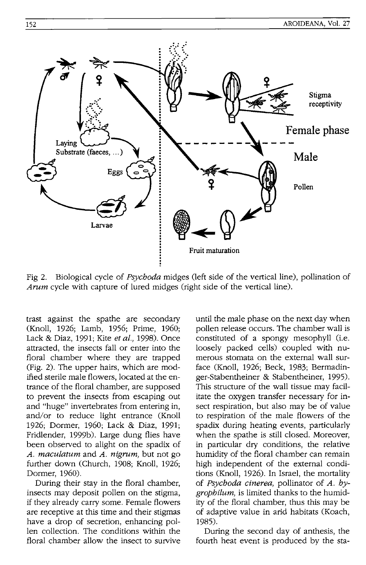

Fig 2. Biological cycle of *Psychoda* midges (left side of the vertical line), pollination of *Arum* cycle with capture of lured midges (right side of the vertical line).

trast against the spathe are secondary (Knoll, 1926; Lamb, 1956; Prime, 1960; Lack & Diaz, 1991; Kite *et al.,* 1998). Once attracted, the insects fall or enter into the floral chamber where they are trapped (Fig. 2). The upper hairs, which are modified sterile male flowers, located at the entrance of the floral chamber, are supposed to prevent the insects from escaping out and "huge" invertebrates from entering in, and/or to reduce light entrance (Knoll 1926; Dormer, 1960; Lack & Diaz, 1991; Fridlender, 1999b). Large dung flies have been observed to alight on the spadix of *A. maculatum* and *A. nigrum,* but not go further down (Church, 1908; Knoll, 1926; Dormer, 1960).

During their stay in the floral chamber, insects may deposit pollen on the stigma, if they already carry some. Female flowers are receptive at this time and their stigmas have a drop of secretion, enhancing pollen collection. The conditions within the floral chamber allow the insect to survive until the male phase on the next day when pollen release occurs. The chamber wall is constituted of a spongy mesophyll (i.e. loosely packed cells) coupled with numerous stomata on the external wall surface (Knoll, 1926; Beck, 1983; Bermadinger-Stabentheiner & Stabentheiner, 1995). This structure of the wall tissue may facilitate the oxygen transfer necessary for insect respiration, but also may be of value to respiration of the male flowers of the spadix during heating events, particularly when the spathe is still closed. Moreover, in particular dry conditions, the relative humidity of the floral chamber can remain high independent of the external conditions (Knoll, 1926). In Israel, the mortality of *Psychoda cinerea,* pollinator of *A. hygrophilum,* is limited thanks to the humidity of the floral chamber, thus this may be of adaptive value in arid habitats (Koach, 1985).

During the second day of anthesis, the fourth heat event is produced by the sta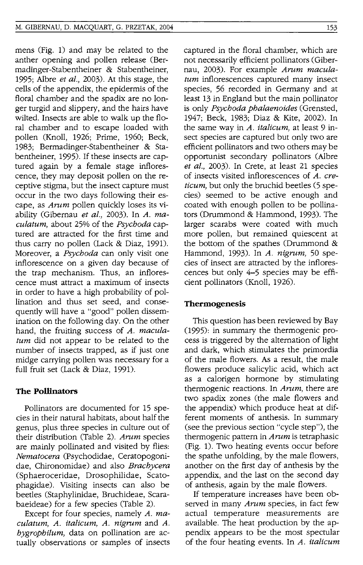mens (Fig. 1) and may be related to the anther opening and pollen release (Bermadinger-Stabentheiner & Stabentheiner, 1995; Albre *et al.,* 2003). At this stage, the cells of the appendix, the epidermis of the floral chamber and the spadix are no longer turgid and slippery, and the hairs have wilted. Insects are able to walk up the floral chamber and to escape loaded with pollen (Knoll, 1926; Prime, 1960; Beck, 1983; Bermadinger-Stabentheiner & Stabentheiner, 1995). If these insects are captured again by a female stage inflorescence, they may deposit pollen on the receptive stigma, but the insect capture must occur in the two days following their escape, as *Arum* pollen quickly loses its viability (Gibernau *et al.,* 2003). In *A. maculatum,* about 25% of the *Psychoda* captured are attracted for the first time and thus carry no pollen (Lack & Diaz, 1991). Moreover, a *Psychoda* can only visit one inflorescence on a given day because of the trap mechanism. Thus, an inflorescence must attract a maximum of insects in order to have a high probability of pollination and thus set seed, and consequently will have a "good" pollen dissemination on the following day. On the other hand, the fruiting success of *A. maculatum* did not appear to be related to the number of insects trapped, as if just one midge carrying pollen was necessary for a full fruit set (Lack & Diaz, 1991).

#### **The Pollinators**

Pollinators are documented for 15 species in their natural habitats, about half the genus, plus three species in culture out of their distribution (Table 2). *Arum* species are mainly pollinated and visited by flies: *Nematocera* (Psychodidae, Ceratopogonidae, Chironomidae) and also *Brachycera*  (Sphaerocerldae, Drosophilidae, Scatophagidae). Visiting insects can also be beetles (Staphylinidae, Bruchideae, Scarabaeideae) for a few species (Table 2).

Except for four species, namely *A. maculatum, A. italicum, A. nigrum* and *A. hygrophilum,* data on pollination are actually observations or samples of insects captured in the floral chamber, which are not necessarily efficient pollinators (Gibernau, 2003). For example *Arum maculatum* inflorescences captured many insect species, 56 recorded in Germany and at least 13 in England but the main pollinator is only *Psychoda phalaenoides* (Grensted, 1947; Beck, 1983; Diaz & Kite, 2002). In the same way in *A. italicum,* at least 9 insect species are captured but only two are efficient pollinators and two others may be opportunist secondary pollinators (Albre *et al.,* 2003). In Crete, at least 21 species of insects visited inflorescences of *A. creticum,* but only the bruchid beetles (5 species) seemed to be active enough and coated with enough pollen to be pollinators (Drummond & Hammond, 1993). The larger scarabs were coated with much more pollen, but remained quiescent at the bottom of the spathes (Drummond & Hammond, 1993). In *A. nigrum,* 50 species of insect are attracted by the inflorescences but only 4-5 species may be efficient pollinators (Knoll, 1926).

#### **Thermogenesis**

This question has been reviewed by Bay (995): in summary the thermogenic process is triggered by the alternation of light and dark, which stimulates the primordia of the male flowers. As a result, the male flowers produce salicylic acid, which act as a calorigen hormone by stimulating thermogenic reactions. In *Arum,* there are two spadix zones (the male flowers and the appendix) which produce heat at different moments of anthesis. In summary (see the previous section "cycle step"), the thermogenic pattern in *Arum* is tetraphasic (Fig. 1). Two heating events occur before the spathe unfolding, by the male flowers, another on the first day of anthesis by the appendix, and the last on the second day of anthesis, again by the male flowers.

If temperature increases have been observed in many *Arum* species, in fact few actual temperature measurements are available. The heat production by the appendix appears to be the most spectular of the four heating events. In *A. italicum*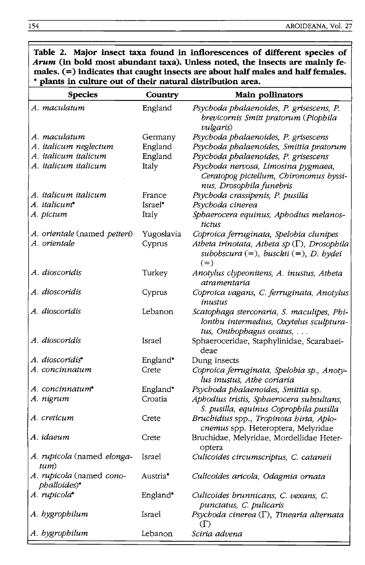| * plants in culture out of their natural distribution area. |            |                                                                                                                   |  |  |  |
|-------------------------------------------------------------|------------|-------------------------------------------------------------------------------------------------------------------|--|--|--|
| <b>Species</b>                                              | Country    | Main pollinators                                                                                                  |  |  |  |
| A. maculatum                                                | England    | Psychoda phalaenoides, P. grisescens, P.<br>brevicornis Smitt pratorum (Piophila<br><i>vulgaris</i> )             |  |  |  |
| A. maculatum                                                | Germany    | Psychoda phalaenoides, P. grisescens                                                                              |  |  |  |
| A. italicum neglectum                                       | England    | Psychoda phalaenoides, Smittia pratorum                                                                           |  |  |  |
| A. italicum italicum                                        | England    | Psychoda phalaenoides, P. grisescens                                                                              |  |  |  |
| A. italicum italicum                                        | Italy      | Psychoda nervosa, Limosina pygmaea,<br>Ceratopog pictellum, Chironomus byssi-<br>nus, Drosophila funebris         |  |  |  |
| A. italicum italicum                                        | France     | Psychoda crassipenis, P. pusilla                                                                                  |  |  |  |
| A. italicum <sup>*</sup>                                    | Israel*    | Psychoda cinerea                                                                                                  |  |  |  |
| A. pictum                                                   | Italy      | Sphaerocera equinus, Aphodius melanos-<br>tictus                                                                  |  |  |  |
| A. orientale (named petteri)                                | Yugoslavia | Coproica ferruginata, Spelobia clunipes                                                                           |  |  |  |
| A. orientale                                                | Cyprus     | Atheta trinotata, Atheta sp $(\Gamma)$ , Drosophila<br>subobscura $(=)$ , busckii $(=)$ , D. hydei<br>$(=)$       |  |  |  |
| A. dioscoridis                                              | Turkey     | Anotylus clypeonitens, A. inustus, Atheta<br>atramentaria                                                         |  |  |  |
| A. dioscoridis                                              | Cyprus     | Coproica vagans, C. ferruginata, Anotylus<br>inustus                                                              |  |  |  |
| A. dioscoridis                                              | Lebanon    | Scatophaga stercoraria, S. maculipes, Phi-<br>lontbu intermedius, Oxytelus sculptura-<br>tus, Onthophagus ovatus, |  |  |  |
| A. dioscoridis                                              | Israel     | Sphaeroceridae, Staphylinidae, Scarabaei-<br>deae                                                                 |  |  |  |
| A. dioscoridis*                                             | England*   | Dung insects                                                                                                      |  |  |  |
| A. concinnatum                                              | Crete      | Coproica ferruginata, Spelobia sp., Anoty-<br>lus inustus, Athe coriaria                                          |  |  |  |
| A. concinnatum*                                             | England*   | Psychoda phalaenoides, Smittia sp.                                                                                |  |  |  |
| A. nigrum                                                   | Croatia    | Aphodius tristis, Sphaerocera subsultans,<br>S. pusilla, equinus Coprophila pusilla                               |  |  |  |
| A. creticum                                                 | Crete      | Bruchidius spp., Tropinota hirta, Aplo-<br>cnemus spp. Heteroptera, Melyridae                                     |  |  |  |
| A. idaeum                                                   | Crete      | Bruchidae, Melyridae, Mordellidae Heter-<br>optera                                                                |  |  |  |
| A. rupicola (named elonga-<br>tum)                          | Israel     | Culicoides circumscriptus, C. cataneii                                                                            |  |  |  |
| A. rupicola (named cono-<br>phalloides)*                    | Austria*   | Culicoides aricola, Odagmia ornata                                                                                |  |  |  |
| A. rupicola*                                                | England*   | Culicoides brunnicans, C. vexans, C.<br>punctatus, C. pulicaris                                                   |  |  |  |
| A. hygrophilum                                              | Israel     | Psychoda cinerea $(\Gamma)$ , Tinearia alternata<br>(T)                                                           |  |  |  |
| A. hygrophilum                                              | Lebanon    | Sciria advena                                                                                                     |  |  |  |

**Table 2. Major insect taxa found in inflorescences of different species of Arum (in bold most abundant taxa). Unless noted, the insects are mainly fe**males. (=) indicates that caught insects are about half males and half females.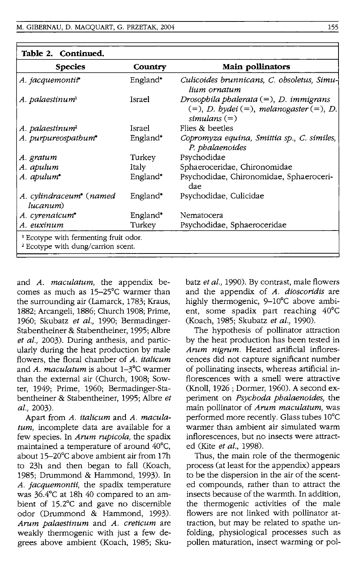| Table 2. Continued.                                                                               |          |                                                                                                           |  |  |  |
|---------------------------------------------------------------------------------------------------|----------|-----------------------------------------------------------------------------------------------------------|--|--|--|
| <b>Species</b>                                                                                    | Country  | Main pollinators                                                                                          |  |  |  |
| A. jacquemontit                                                                                   | England* | Culicoides brunnicans, C. obsoletus, Simu-<br>lium ornatum                                                |  |  |  |
| A. palaestinum <sup>1</sup>                                                                       | Israel   | Drosophila phalerata $(=)$ , D. immigrans<br>$(=), D. by dei (=), melanogaster (=), D.$<br>simulans $(=)$ |  |  |  |
| A. palaestinum <sup>2</sup>                                                                       | Israel   | Flies & beetles                                                                                           |  |  |  |
| A. purpureospathum*                                                                               | England* | Copromyza equina, Smittia sp., C. similes,<br>P. phalaenoides                                             |  |  |  |
| A. gratum                                                                                         | Turkey   | Psychodidae                                                                                               |  |  |  |
| A. apulum                                                                                         | Italy    | Sphaeroceridae, Chironomidae                                                                              |  |  |  |
| A. apulum*                                                                                        | England* | Psychodidae, Chironomidae, Sphaeroceri-<br>dae                                                            |  |  |  |
| A. cylindraceum* (named<br>lucanum)                                                               | England* | Psychodidae, Culicidae                                                                                    |  |  |  |
| A. cyrenaicum*                                                                                    | England* | Nematocera                                                                                                |  |  |  |
| A. euxinum                                                                                        | Turkey   | Psychodidae, Sphaeroceridae                                                                               |  |  |  |
| <sup>1</sup> Ecotype with fermenting fruit odor.<br><sup>2</sup> Ecotype with dung/carrion scent. |          |                                                                                                           |  |  |  |

and *A. maculatum,* the appendix becomes as much as 15-25°C warmer than the surrounding air (Lamarck, 1783; Kraus, 1882; Arcangeli, 1886; Church 1908; Prime, 1960; Skubatz *et al.,* 1990; Bermadinger-Stabentheiner & Stabentheiner, 1995; Albre *et al.,* 2003). During anthesis, and particularly during the heat production by male flowers, the floral chamber of *A. italicum*  and *A. maculatum* is about I-3°C warmer than the external air (Church, 1908; Sowter, 1949; Prime, 1960; Bermadinger-Stabentheiner & Stabentheiner, 1995; Albre *et al.,* 2003).

Apart from *A. italicum* and *A. maculatum,* incomplete data are available for a few species. In *Arum rupicola,* the spadix maintained a temperature of around 40°C, about 15-20°C above ambient air from 17h to 23h and then began to fall (Koach, 1985; Drummond & Hammond, 1993). In *A. jacquemontii,* the spadix temperature was 36.4°C at 18h 40 compared to an ambient of 15.2°C and gave no discernible odor (Drummond & Hammond, 1993). *Arum palaestinum* and *A. creticum* are weakly thermogenic with just a few degrees above ambient (Koach, 1985; Skubatz *et al.,* 1990). By contrast, male flowers and the appendix of *A. dioscoridis* are highly thermogenic, 9-10°C above ambient, some spadix part reaching 40°C (Koach, 1985; Skubatz *et al., 1990).* 

The hypothesis of pollinator attraction by the heat production has been tested in *Arum nigrum.* Heated artificial inflorescences did not capture significant number of pollinating insects, whereas artificial inflorescences with a smell were attractive (Knoll, 1926 ; Dormer, 1960). A second experiment on *Psychoda phalaenoides,* the main pollinator of *Arum maculatum,* was performed more recently. Glass tubes 10°C warmer than ambient air simulated warm inflorescences, but no insects were attracted (Kite *et al., 1998).* 

Thus, the main role of the thermogenic process (at least for the appendix) appears to be the dispersion in the air of the scented compounds, rather than to attract the insects because of the warmth. In addition, the thermogenic activities of the male flowers are not linked with pollinator attraction, but may be related to spathe unfolding, physiological processes such as pollen maturation, insect warming or pol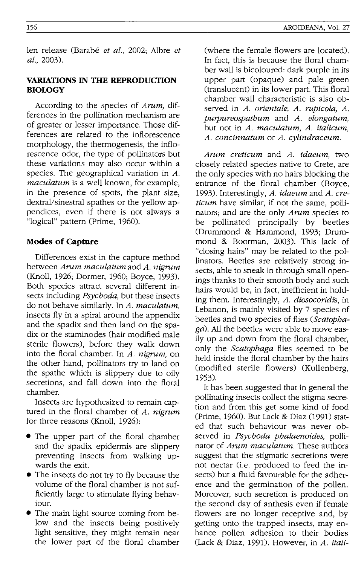len release (Barabe *et al.,* 2002; Albre *et al., 2003).* 

## **VARIATIONS IN THE REPRODUCTION BIOLOGY**

According to the species of *Arum,* differences in the pollination mechanism are of greater or lesser importance. Those differences are related to the inflorescence morphology, the thermogenesis, the inflorescence odor, the type of pollinators but these variations may also occur within a species. The geographical variation in A. *maculatum* is a well known, for example, in the presence of spots, the plant size, dextral/sinestral spathes or the yellow appendices, even if there is not always a "logical" pattern (Prime, 1960).

#### **Modes of Capture**

Differences exist in the capture method between *Arum maculatum* and *A. nigrum*  (Knoll, 1926; Dormer, 1960; Boyce, 1993). Both species attract several different insects including *Psychoda,* but these insects do not behave similarly. In *A. maculatum,*  insects fly in a spiral around the appendix and the spadix and then land on the spadix or the staminodes (hair modified male sterile flowers), before they walk down into the floral chamber. In *A. nigrum,* on the other hand, pollinators try to land on the spathe which is slippery due to oily secretions, and fall down into the floral chamber.

Insects are hypothesized to remain captured in the floral chamber of *A. nigrum*  for three reasons (Knoll, 1926):

- The upper part of the floral chamber and the spadix epidermis are slippery preventing insects from walking upwards the exit.
- The insects do not try to fly because the volume of the floral chamber is not sufficiently large to stimulate flying behaviour.
- The main light source coming from below and the insects being positively light sensitive, they might remain near the lower part of the floral chamber

(where the female flowers are located). In fact, this is because the floral chamber wall is bicoloured: dark purple in its upper part (opaque) and pale green (translucent) in its lower part. This floral chamber wall characteristic is also observed in *A. orientale, A. rupicola, A. purpureospathum* and *A. elongatum,*  but not in *A. maculatum, A. italicum, A. concinnatum* or *A. cylindraceum.* 

*Arum creticum* and *A. idaeum,* two closely related species native to Crete, are the only species with no hairs blocking the entrance of the floral chamber (Boyce, 1993). Interestingly, *A. idaeum* and *A. creticum* have similar, if not the same, pollinators; and are the only *Arum* species to be pollinated principally by beetles (Drummond & Hammond, 1993; Drummond & Boorman, 2003). This lack of "closing hairs" may be related to the pollinators. Beetles are relatively strong insects, able to sneak in through small openings thanks to their smooth body and such hairs would be, in fact, inefficient in holding them. Interestingly, *A. diosocoridis,* in Lebanon, is mainly visited by 7 species of beetles and two species of flies *(Scatophaga).* All the beetles were able to move easily up and down from the floral chamber, only the *Scatophaga* flies seemed to be held inside the floral chamber by the hairs (modified sterile flowers) (Kullenberg, 1953).

It has been suggested that in general the pollinating insects collect the stigma secretion and from this get some kind of food (Prime, 1960). But Lack & Diaz (1991) stated that such behaviour was never observed in *Psychoda phalaenoides,* pollinator of *Arum maculatum.* These authors suggest that the stigmatic secretions were not nectar (i.e. produced to feed the insects) but a fluid favourable for the adherence and the germination of the pollen. Moreover, such secretion is produced on the second day of anthesis even if female flowers are no longer receptive and, by getting onto the trapped insects, may enhance pollen adhesion to their bodies (Lack & Diaz, 1991). However, in *A. itali-*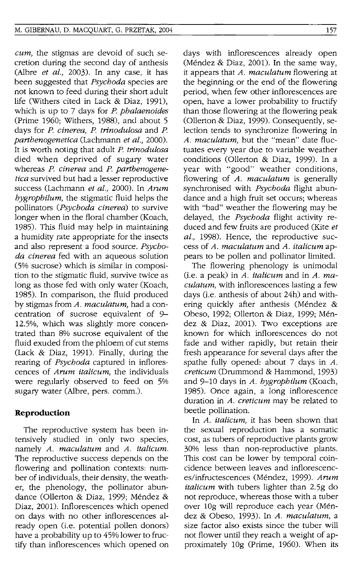*cum,* the stigmas are devoid of such secretion during the second day of anthesis (Albre *et al.,* 2003). In any case, it has been suggested that *Psychoda* species are not known to feed during their short adult life (Withers cited in Lack & Diaz, 1991), which is up to 7 days for *P. phalaenoides*  (Prime 1960; Withers, 1988), and about 5 days for *P. cinerea, P. trinodulosa* and *P. parthenogenetica* (Lachmann *et al., 2000).*  It is worth noting that adult *P. trinodulosa*  died when deprived of sugary water whereas *P. cinerea* and *P. parthenogenetica* survived but had a lesser reproductive success (Lachmann *et al.,* 2000). In *Arum hygrophilum,* the stigmatic fluid helps the pollinators *(Psychoda cinerea)* to survive longer when in the floral chamber (Koach, 1985). This fluid may help in maintaining a humidity rate appropriate for the insects and also represent a food source. *Psychoda cinerea* fed with an aqueous solution (5% sucrose) which is similar in composition to the stigmatic fluid, survive twice as long as those fed with only water (Koach, 1985). In comparison, the fluid produced by stigmas from *A. maculatum,* had a concentration of sucrose equivalent of 9-12.5%, which was slightly more concentrated than 8% sucrose equivalent of the fluid exuded from the phloem of cut stems (Lack & Diaz, 1991). Finally, during the rearing of *Psychoda* captured in inflorescences of *Arum italicum,* the individuals were regularly observed to feed on 5% sugary water (Albre, pers. comm.).

# **Reproduction**

The reproductive system has been intensively studied in only two species, namely *A. maculatum* and *A. italicum.*  The reproductive success depends on the flowering and pollination contexts: number of individuals, their density, the weather, the phenology, the pollinator abundance (Ollerton & Diaz, 1999; Méndez & Diaz, 2001). Inflorescences which opened on days with no other inflorescences already open (i.e. potential pollen donors) have a probability up to 45% lower to fructify than inflorescences which opened on days with inflorescences already open (Méndez & Diaz, 2001). In the same way, it appears that *A. maculatum* flowering at the beginning or the end of the flowering period, when few other inflorescences are open, have a lower probability to fructify than those flowering at the flowering peak (Ollerton & Diaz, 1999). Consequently, selection tends to synchronize flowering in *A. maculatum,* but the "mean" date fluctuates every year due to variable weather conditions (Ollerton & Diaz, 1999). In a year with "good" weather conditions, flowering of *A. maculatum* is generally synchronised with *Psychoda* flight abundance and a high fruit set occurs; whereas with "bad" weather the flowering may be delayed, the *Psychoda* flight activity reduced and few fruits are produced (Kite *et al.,* 1998). Hence, the reproductive success of *A. maculatum* and *A. italicum* appears to be pollen and pollinator limited.

The flowering phenology is unimodal (Le. a peak) in *A. italicum* and in *A. maculatum,* with inflorescences lasting a few days (i.e. anthesis of about 24h) and withering quickly after anthesis (Méndez & Obeso, 1992; Ollerton & Diaz, 1999; Méndez & Diaz, 2001). Two exceptions are known for which inflorescences do not fade and wither rapidly, but retain their fresh appearance for several days after the spathe fully opened: about 7 days in *A. creticum* (Drummond & Hammond, 1993) and 9-10 days in *A. hygrophilum* (Koach, 1985). Once again, a long inflorescence duration in *A. creticum* may be related to beetle pollination.

In *A. italicum,* it has been shown that the sexual reproduction has a somatic cost, as tubers of reproductive plants grow 30% less than non-reproductive plants. This cost can be lower by temporal coincidence between leaves and inflorescences/infructescences (Mendez, 1999). *Arum italicum* with tubers lighter than 2.5g do not reproduce, whereas those with a tuber over 109 will reproduce each year (Mendez & Obeso, 1993). In *A. maculatum,* a size factor also exists since the tuber will not flower until they reach a weight of approximately 109 (Prime, 1960). When its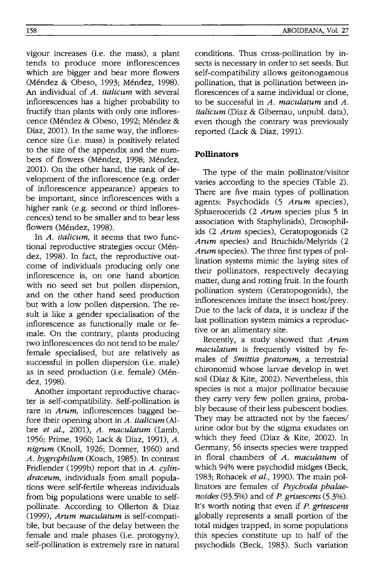vigour increases (i.e. the mass), a plant tends to produce more inflorescences which are bigger and bear more flowers (Méndez & Obeso, 1993; Méndez, 1998). An individual of *A. italicum* with several inflorescences has a higher probability to fructify than plants with only one inflorescence (Méndez & Obeso, 1992; Méndez & Diaz, 2001). In the same way, the inflorescence size (i.e. mass) is positively related to the size of the appendix and the numbers of flowers (Méndez, 1998; Méndez, 2001). On the other hand, the rank of development of the inflorescence (e.g. order of inflorescence appearance) appears to be important, since inflorescences with a higher rank (e.g. second or third inflorescences) tend to be smaller and to bear less flowers (Méndez, 1998).

In *A. italicum,* it seems that two functional reproductive strategies occur (Mendez, 1998). In fact, the reproductive outcome of individuals producing only one inflorescence is, on one hand abortion with no seed set but pollen dispersion, and on the other hand seed production but with a low pollen dispersion. The result is like a gender specialisation of the inflorescence as functionally male or female. On the contrary, plants producing two inflorescences do not tend to be male/ female specialised, but are relatively as successful in pollen dispersion (i.e. male) as in seed production (i.e. female) (Mendez, 1998).

Another important reproductive character is self-compatibility. Self-pollination is rare in *Arum*, inflorescences bagged before their opening abort in *A. italicum* (Albre *et al.,* 2001), *A. maculatum* (Lamb, 1956; Prime, 1960; Lack & Diaz, 1991), *A. nigrum* (Knoll, 1926; Dormer, 1960) and *A. bygropbilum* (Koach, 1985). In contrast Fridlender (1999b) report that in *A. cylindraceum,* individuals from small populations were self-fertile whereas individuals from big populations were unable to selfpollinate. According to Ollerton & Diaz *(1999), Arnm maculatum* is self-compatible, but because of the delay between the female and male phases (i.e. protogyny), self-pollination is extremely rare in natural

conditions. Thus cross-pollination by insects is necessary in order to set seeds. But self-compatibility allows geitonogamous pollination, that is pollination between inflorescences of a same individual or clone, to be successful in *A. maculatum* and *A. italicum* (Diaz & Gibernau, unpubl. data), even though the contrary was previously reported (Lack & Diaz, 1991).

# **Pollinators**

The type of the main pollinator/visitor varies according to the species (Table 2). There are five main types of pollination agents: Psychodids (5 *Arnm* species), Sphaerocerids (2 *Arum* species plus 5 in association with Staphylinids), Drosophilids (2 *Arum* species), Ceratopogonids (2 *Arnm* species) and Bruchids/Melyrids (2 *Arnm* species). The three first types of pollination systems mimic the laying sites of their pollinators, respectively decaying matter, dung and rotting fruit. In the fourth pollination system (Ceratopogonids), the inflorescences imitate the insect host/prey. Due to the lack of data, it is unclear if the last pollination system mimics a reproductive or an alimentary site.

Recently, a study showed that *Arnm maculatum* is frequently visited by females of *Smittia pratorum*, a terrestrial chironomid whose larvae develop in wet soil (Diaz & Kite, 2002). Nevertheless, this species is not a major pollinator because they carry very few pollen grains, probably because of their less pubescent bodies. They may be attracted not by the faeces/ urine odor but by the stigma exudates on which they feed (Diaz & Kite, 2002). In Germany, 56 insects species were trapped in floral chambers of *A. maculatum* of which 94% were psychodid midges (Beck, 1983; Rohacek *et al.,* 1990). The main pollinators are females of *Psycboda pbalaenoides* (93.5%) and of *P. grisescens (5.3%).*  It's worth noting that even if *P. grisescens*  globally represents a small portion of the total midges trapped, in some populations this species constitute up to half of the psychodids (Beck, 1983). Such variation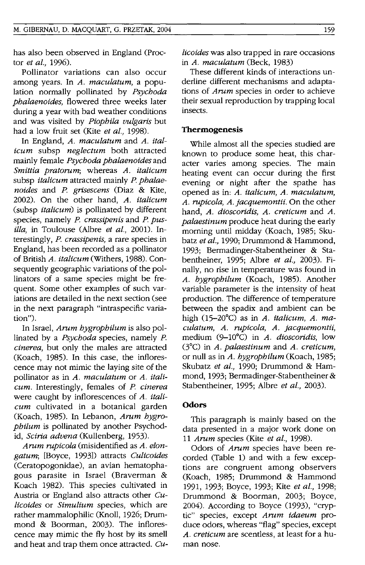has also been observed in England (Proctor *et al., 1996).* 

Pollinator variations can also occur among years. **In** *A. maculatum,* a population normally pollinated by *Psychoda phalaenoides,* flowered three weeks later during a year with bad weather conditions and was visited by *Piophila vulgaris* but had a low fruit set (Kite *et al., 1998).* 

**In** England, *A. maculatum* and *A. italicum* subsp *neglectum* both attracted mainly female *Psychoda phalaenoides* and *Smittia pratorum;* whereas *A. italicum*  subsp *italicum* attracted mainly *P. phalaenoides* and *P. grisescens* (Diaz & Kite, 2002). On the other hand, *A. italicum*  (subsp *italicum)* is pollinated by different species, namely *P. crassipenis* and *P. pusilla,* in Toulouse (Albre *et al.,* 2001). Interestingly, *P. crassipenis,* a rare species in England, has been recorded as a pollinator of British *A. italicum* (Withers, 1988). Consequently geographic variations of the pollinators of a same species might be frequent. Some other examples of such variations are detailed in the next section (see in the next paragraph "intraspecific variation").

**In** Israel, *Arum hygrophilum* is also pollinated by a *Psychoda* species, namely *P. cinerea,* but only the males are attracted (Koach, 1985). **In** this case, the inflorescence may not mimic the laying site of the pollinator as in *A. maculatum* or *A. italicum.* Interestingly, females of *P. cinerea*  were caught by inflorescences of *A. italicum* cultivated in a botanical garden (Koach, 1985). **In** Lebanon, *Arum hygrophilum* is pollinated by another Psychodid, *Sciria advena* (Kullenberg, 1953).

*Arum rupicola* (misidentified as *A. elongatum;* [Boyce, 1993]) attracts *Culicoides*  (Ceratopogonidae), an avian hematophagous parasite in Israel (Braverman & Koach 1982). This species cultivated in Austria or England also attracts other *Culicoides* or *Simulium* species, which are rather mammalophilic (Knoll, 1926; Drummond & Boorman, 2003). The inflorescence may mimic the fly host by its smell and heat and trap them once attracted. *Cu-* *licoides* was also trapped in rare occasions in *A. maculatum* (Beck, 1983)

These different kinds of interactions underline different mechanisms and adaptations of *Arum* species in order to achieve their sexual reproduction by trapping local insects.

### **Thermogenesis**

While almost all the species studied are known to produce some heat, this character varies among species. The main heating event can occur during the first evening or night after the spathe has opened as in: *A. italicum, A. maculatum, A. rupicola, A. jacquemontii.* On the other hand, *A. dioscoridis, A. creticum* and *A. palaestinum* produce heat during the early morning until midday (Koach, 1985; Skubatz *et al.,* 1990; Drummond & Hammond, 1993; Bermadinger-Stabentheiner & Stabentheiner, 1995; Albre *et al.,* 2003). Finally, no rise in temperature was found in *A. hygrophilum* (Koach, 1985). Another variable parameter is the intensity of heat production. The difference of temperature between the spadix and ambient can be high (15-20°C) as in *A. italicum, A. maculatum, A. rupicola, A. jacquemontii,*  medium (9-10°C) in *A. dioscoridis*, low (3°C) in *A. palaestinum* and *A. creticum,*  or null as in *A. hygrophilum* (Koach, 1985; Skubatz *et al.,* 1990; Drummond & Hammond, 1993; Bermadinger-Stabentheiner & Stabentheiner, 1995; Albre *et al., 2003).* 

# **Odors**

This paragraph is mainly based on the data presented in a major work done on *11 Arum* species (Kite *et at., 1998).* 

Odors of *Arum* species have been recorded (Table 1) and with a few exceptions are congruent among observers (Koach, 1985; Drummond & Hammond 1991, 1993; Boyce, 1993; Kite *et al., 1998;*  Drummond & Boorman, 2003; Boyce, 2004). According to Boyce (1993), "cryptic" species, except *Arum idaeum* produce odors, whereas "flag" species, except *A. creticum* are scentless, at least for a human nose.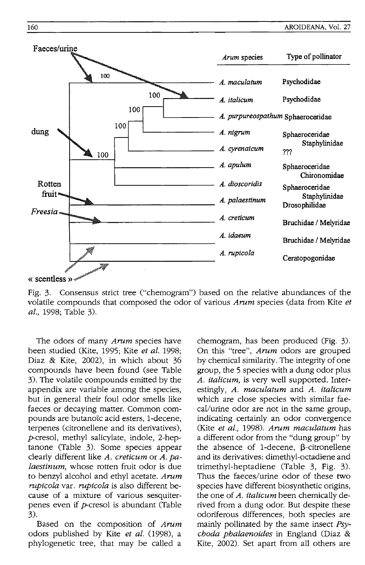

Fig. 3. Consensus strict tree ("chemogram") based on the relative abundances of the volatile compounds that composed the odor of various *Arum* species (data from Kite *et at.,* 1998; Table 3).

The odors of many *Arum* species have been studied (Kite, 1995; Kite *et at. 1998;*  Diaz & Kite, 2002), in which about 36 compounds have been found (see Table 3). The volatile compounds emitted by the appendix are variable among the species, but in general their foul odor smells like faeces or decaying matter. Common compounds are butanoïc acid esters, 1-decene, terpenes (citronellene and its derivatives), p-cresol, methyl salicylate, indole, 2-heptanone (Table 3). Some species appear clearly different like *A. creticum* or *A. pataestinum,* whose rotten fruit odor is due to benzyl alcohol and ethyl acetate. *Arum rupicola* var. *rupicola* is also different because of a mixture of various sesquiterpenes even if p-cresol is abundant (Table 3).

Based on the composition of *Arum*  odors published by Kite *et al.* (1998), a phylogenetic tree, that may be called a chemogram, has been produced (Fig. 3). On this "tree", *Arum* odors are grouped by chemical similarity. The integrity of one group, the 5 species with a dung odor plus *A. italicum,* is very well supported. Interestingly, *A. maculatum* and *A. ttalicum*  which are close species with similar faecal/urine odor are not in the same group, indicating certainly an odor convergence (Kite *et al.,* 1998). *Arum maculatum* has a different odor from the "dung group" by the absence of 1-decene,  $\beta$ -citronellene and its derivatives: dimethyl-octadiene and trimethyl-heptadiene (Table 3, Fig. 3). Thus the faeces/urine odor of these two species have different biosynthetic origins, the one of *A. italicum* been chemically derived from a dung odor. But despite these odoriferous differences, both species are mainly pollinated by the same insect *psychoda phalaenoides* in England (Diaz & Kite, 2002). Set apart from all others are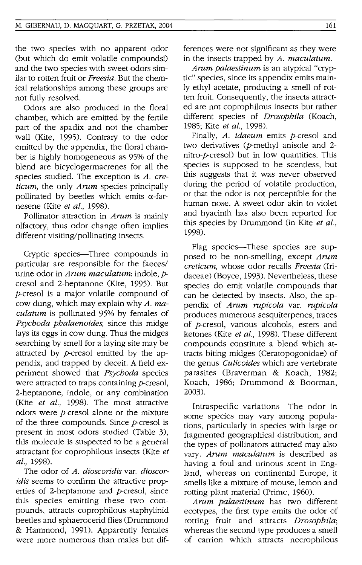the two species with no apparent odor (but which do emit volatile compounds!) and the two species with sweet odors similar to rotten fruit or *Freesia.* But the chemical relationships among these groups are not fully resolved.

Odors are also produced in the floral chamber, which are emitted by the fertile part of the spadix and not the chamber wall (Kite, 1995). Contrary to the odor emitted by the appendix, the floral chamber is highly homogeneous as 95% of the blend are bicyclogermacrenes for all the species studied. The exception is *A. creticum,* the only *Arum* species principally pollinated by beetles which emits  $\alpha$ -farnesene (Kite *et* aI., *1998).* 

Pollinator attraction in *Arum* is mainly olfactory, thus odor change often implies different visiting/pollinating insects.

Cryptic species-Three compounds in particular are responsible for the faeces/ urine odor in *Arum maculatum:* indole, pcresol and 2-heptanone (Kite, 1995). But p-cresol is a major volatile compound of cow dung, which may explain why *A. maculatum* is pollinated 95% by females of *Psychoda phalaenoides,* since this midge lays its eggs in cow dung. Thus the midges searching by smell for a laying site may be attracted by  $p$ -cresol emitted by the appendix, and trapped by deceit. A field experiment showed that *Psychoda* species were attracted to traps containing  $p$ -cresol, 2-heptanone, indole, or any combination (Kite *et al.,* 1998). The most attractive odors were p-cresol alone or the mixture of the three compounds. Since  $p$ -cresol is present in most odors studied (Table 3), this molecule is suspected to be a general attractant for coprophilous insects (Kite *et al., 1998).* 

The odor of *A. dioscoridis* var. *dioscoridis* seems to confirm the attractive properties of 2-heptanone and  $p$ -cresol, since this species emitting these two compounds, attracts coprophilous staphylinid beetles and sphaerocerid flies (Drummond & Hammond, 1991). Apparently females were more numerous than males but differences were not significant as they were in the insects trapped by *A. maculatum.* 

*Arum palaestinum* is an atypical "cryptic" species, since its appendix emits mainly ethyl acetate, producing a smell of rotten fruit. Consequently, the insects attracted are not coprophilous insects but rather different species of *Drosophila* (Koach, 1985; Kite *et al., 1998).* 

Finally, *A. idaeum* emits p-cresol and two derivatives (p-methyl anisole and 2 nitro-p-cresol) but in low quantities. This species is supposed to be scentless, but this suggests that it was never observed during the period of volatile production, or that the odor is not perceptible for the human nose. A sweet odor akin to violet and hyacinth has also been reported for this species by Drummond (in Kite *et al.,*  1998).

Flag species-These species are supposed to be non-smelling, except *Arum creticum,* whose odor recalls *Freesia* (Iridaceae) (Boyce, 1993). Nevertheless, these species do emit volatile compounds that can be detected by insects. Also, the appendix of *Arum rupicola* var. *rupicola*  produces numerous sesquiterpenes, traces of p-cresol, various alcohols, esters and ketones (Kite *et al.,* 1998). These different compounds constitute a blend which attracts biting midges (Ceratopogonidae) of the genus *Culicoides* which are vertebrate parasites (Braverman & Koach, 1982; Koach, 1986; Drummond & Boorman, 2003).

Intraspecific variations-The odor in some species may vary among populations, particularly in species with large or fragmented geographical distribution, and the types of pollinators attracted may also vary. *Arum maculatum* is described as having a foul and urinous scent in England, whereas on continental Europe, it smells like a mixture of mouse, lemon and rotting plant material (Prime, 1960).

*Arum palaestinum* has two different ecotypes, the first type emits the odor of rotting fruit and attracts *Drosophila;*  whereas the second type produces a smell of carrion which attracts necrophilous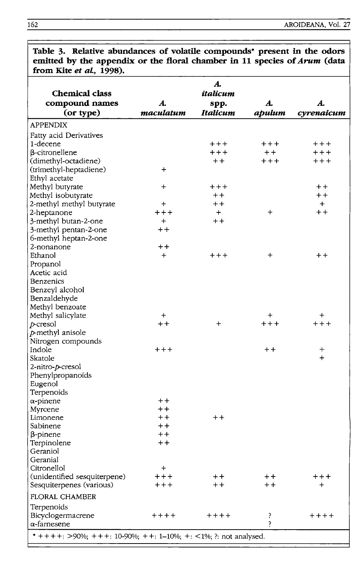| emitted by the appendix or the floral chamber in 11 species of Arum (data<br>from Kite et al., 1998). |                 |                        |                 |                 |  |  |
|-------------------------------------------------------------------------------------------------------|-----------------|------------------------|-----------------|-----------------|--|--|
| <b>Chemical class</b><br>compound names                                                               | A.              | A.<br>italicum<br>spp. | A.              | A.              |  |  |
| (or type)                                                                                             | maculatum       | Italicum               | apulum          | cyrenaicum      |  |  |
| APPENDIX                                                                                              |                 |                        |                 |                 |  |  |
| Fatty acid Derivatives                                                                                |                 |                        |                 |                 |  |  |
| 1-decene                                                                                              |                 | $++++$                 | $++++$          | $++++$          |  |  |
| $\beta$ -citronellene                                                                                 |                 | $++++$                 | $+ +$           | $++++$          |  |  |
| (dimethyl-octadiene)                                                                                  |                 | $+ +$                  | $++++$          | $++++$          |  |  |
| (trimethyl-heptadiene)                                                                                | $\div$          |                        |                 |                 |  |  |
| Ethyl acetate                                                                                         |                 |                        |                 |                 |  |  |
| Methyl butyrate                                                                                       | $\ddot{}$       | $++++$                 |                 | $^{\mathrm{+}}$ |  |  |
| Methyl isobutyrate                                                                                    |                 | $+ +$                  |                 | $+ +$           |  |  |
| 2-methyl methyl butyrate                                                                              | $\ddot{}$       | $+ +$                  |                 | $+$             |  |  |
| 2-heptanone                                                                                           | $++++$          | $+$                    | $\div$          | $+ +$           |  |  |
| 3-methyl butan-2-one                                                                                  | $+$             | $^{\mathrm{+}}$        |                 |                 |  |  |
| 3-methyl pentan-2-one                                                                                 | $+ +$           |                        |                 |                 |  |  |
| 6-methyl heptan-2-one                                                                                 |                 |                        |                 |                 |  |  |
| 2-nonanone                                                                                            | $^{\mathrm{+}}$ |                        |                 |                 |  |  |
| Ethanol                                                                                               | $\div$          | $++++$                 | $\ddot{}$       | $+ +$           |  |  |
| Propanol                                                                                              |                 |                        |                 |                 |  |  |
| Acetic acid                                                                                           |                 |                        |                 |                 |  |  |
| Benzenics                                                                                             |                 |                        |                 |                 |  |  |
| Benzeyl alcohol                                                                                       |                 |                        |                 |                 |  |  |
| Benzaldehyde                                                                                          |                 |                        |                 |                 |  |  |
| Methyl benzoate                                                                                       |                 |                        |                 |                 |  |  |
| Methyl salicylate                                                                                     | $\ddot{}$       |                        | $\bm{+}$        | $\bm{+}$        |  |  |
| $p$ -cresol                                                                                           | $+ +$           | $\pm$                  | $++++$          | $++++$          |  |  |
| p-methyl anisole                                                                                      |                 |                        |                 |                 |  |  |
| Nitrogen compounds                                                                                    |                 |                        |                 |                 |  |  |
| Indole                                                                                                | $++++$          |                        | $+ +$           | ┿               |  |  |
| Skatole                                                                                               |                 |                        |                 | $+$             |  |  |
| 2-nitro-p-cresol                                                                                      |                 |                        |                 |                 |  |  |
| Phenylpropanoids                                                                                      |                 |                        |                 |                 |  |  |
| Eugenol                                                                                               |                 |                        |                 |                 |  |  |
| Terpenoids                                                                                            |                 |                        |                 |                 |  |  |
| $\alpha$ -pinene                                                                                      | $+ +$           |                        |                 |                 |  |  |
| Myrcene                                                                                               | $+ +$           |                        |                 |                 |  |  |
| Limonene                                                                                              | $^{\mathrm{+}}$ | $+ +$                  |                 |                 |  |  |
| Sabinene                                                                                              | $+ +$           |                        |                 |                 |  |  |
| β-pinene                                                                                              | $+ +$           |                        |                 |                 |  |  |
| Terpinolene                                                                                           | $+ +$           |                        |                 |                 |  |  |
| Geraniol                                                                                              |                 |                        |                 |                 |  |  |
| Geranial                                                                                              |                 |                        |                 |                 |  |  |
| Citronellol                                                                                           | $\div$          |                        |                 |                 |  |  |
| (unidentified sesquiterpene)                                                                          | $++++$          | $+ +$                  | $^{\mathrm{+}}$ | $++++$          |  |  |
| Sesquiterpenes (various)                                                                              | $+++$           | $+ +$                  | $++$            | $\pm$           |  |  |
| FLORAL CHAMBER                                                                                        |                 |                        |                 |                 |  |  |
| Terpenoids                                                                                            |                 |                        |                 |                 |  |  |
| Bicyclogermacrene                                                                                     | $++++$          | $+ + + +$              | ?               | $+ + + +$       |  |  |
| α-farnesene                                                                                           |                 |                        | 2               |                 |  |  |
| * + + + +: >90%; + + +: 10-90%; + +: 1-10%; +: <1%; ?: not analysed.                                  |                 |                        |                 |                 |  |  |

**Table 3. Relative abundances of volatile compounds· present in the odors emitted by the appendix or the floral chamber in 11 species of** *Arum* **(data**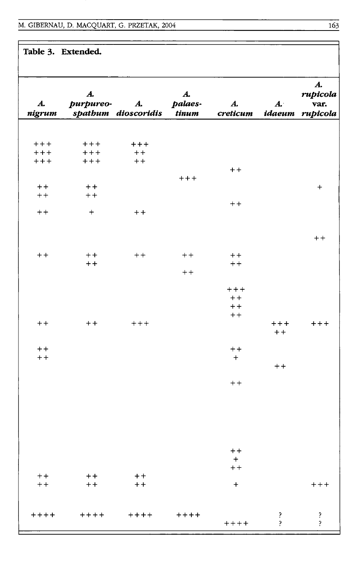**Table 3. Extended.** 

| $\boldsymbol{\mathcal{A}}$ .<br>nigrum | A.<br>purpureo-  | A.<br>spathum dioscoridis | $\boldsymbol{\mathcal{A}}$ .<br>palaes-<br><b>tinum</b> | $\boldsymbol{A}$ .<br>creticum | $A^{\cdot}$<br>idaeum                 | $\boldsymbol{A}$ .<br>rupicola<br>var.<br>rupicola |
|----------------------------------------|------------------|---------------------------|---------------------------------------------------------|--------------------------------|---------------------------------------|----------------------------------------------------|
|                                        |                  |                           |                                                         |                                |                                       |                                                    |
| $++++$                                 | $++++$           | $++++$                    |                                                         |                                |                                       |                                                    |
| $++++$                                 | $++++$           | $+ +$                     |                                                         |                                |                                       |                                                    |
| $++++$                                 | $++++$           | $++$                      |                                                         |                                |                                       |                                                    |
|                                        |                  |                           |                                                         | $+ +$                          |                                       |                                                    |
|                                        |                  |                           | $++++$                                                  |                                |                                       |                                                    |
| $+ +$<br>$++$                          | $+ +$<br>$++$    |                           |                                                         |                                |                                       | $\ddot{}$                                          |
|                                        |                  |                           |                                                         | $+ +$                          |                                       |                                                    |
| $++$                                   | $\boldsymbol{+}$ | $+ +$                     |                                                         |                                |                                       |                                                    |
|                                        |                  |                           |                                                         |                                |                                       |                                                    |
|                                        |                  |                           |                                                         |                                |                                       |                                                    |
|                                        |                  |                           |                                                         |                                |                                       | $+ +$                                              |
|                                        |                  |                           |                                                         |                                |                                       |                                                    |
| $+ +$                                  | $++$<br>$+ +$    | $++$                      | $+ +$                                                   | $+ +$<br>$++$                  |                                       |                                                    |
|                                        |                  |                           | $++$                                                    |                                |                                       |                                                    |
|                                        |                  |                           |                                                         |                                |                                       |                                                    |
|                                        |                  |                           |                                                         | $++++$                         |                                       |                                                    |
|                                        |                  |                           |                                                         | $+ +$                          |                                       |                                                    |
|                                        |                  |                           |                                                         | $+ +$                          |                                       |                                                    |
| $+ +$                                  | $+ +$            |                           |                                                         | $++$                           | $++++$                                |                                                    |
|                                        |                  | $+++$                     |                                                         |                                | $+ +$                                 | $+ + +$                                            |
|                                        |                  |                           |                                                         |                                |                                       |                                                    |
| $+ +$                                  |                  |                           |                                                         | $+ +$                          |                                       |                                                    |
| $+ +$                                  |                  |                           |                                                         | $+$                            |                                       |                                                    |
|                                        |                  |                           |                                                         |                                | $++$                                  |                                                    |
|                                        |                  |                           |                                                         | $++$                           |                                       |                                                    |
|                                        |                  |                           |                                                         |                                |                                       |                                                    |
|                                        |                  |                           |                                                         |                                |                                       |                                                    |
|                                        |                  |                           |                                                         |                                |                                       |                                                    |
|                                        |                  |                           |                                                         |                                |                                       |                                                    |
|                                        |                  |                           |                                                         |                                |                                       |                                                    |
|                                        |                  |                           |                                                         |                                |                                       |                                                    |
|                                        |                  |                           |                                                         | $+ +$                          |                                       |                                                    |
|                                        |                  |                           |                                                         | $\pm$                          |                                       |                                                    |
|                                        |                  |                           |                                                         | $+ +$                          |                                       |                                                    |
| $++$                                   | $+ +$            | $+ +$                     |                                                         |                                |                                       |                                                    |
| $++$                                   | $+ +$            | $+ +$                     |                                                         | $+$                            |                                       | $++++$                                             |
|                                        |                  |                           |                                                         |                                |                                       |                                                    |
|                                        |                  |                           |                                                         |                                |                                       |                                                    |
| $++++$                                 | $++++$           | $++++$                    | $++++$                                                  | $+++++$                        | $\ddot{\mathbf{z}}$<br>$\overline{?}$ | $\ddot{\cdot}$                                     |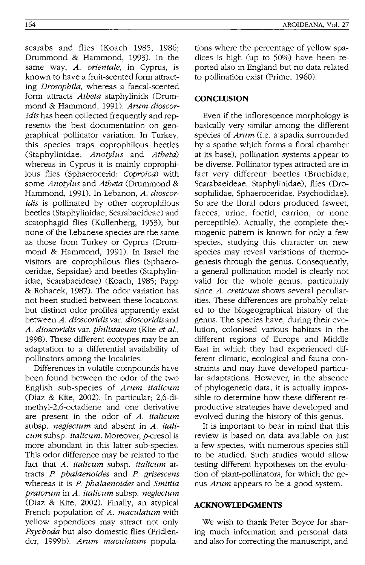scarabs and flies (Koach 1985, 1986; Drummond & Hammond, 1993). In the same way, *A. orientale,* in Cyprus, is known to have a fruit-scented form attracting *Drosophila,* whereas a faecal-scented form attracts *Atheta* staphylinids (Drummond & Hammond, 1991). *Arum dioscoridis* has been collected frequently and represents the best documentation on geographical pollinator variation. In Turkey, this species traps coprophilous beetles (Staphylinidae: *Anotylus* and *A theta)*  whereas in Cyprus it is mainly coprophilous flies (Sphaerocerid: *Coproica)* with some *Anotylus* and *Atheta* (Drummond & Hammond, 1991). In Lebanon, *A. dioscoridis* is pollinated by other coprophilous beetles (Staphylinidae, Scarabaeideae) and scatophagid flies (Kullenberg, 1953), but none of the Lebanese species are the same as those from Turkey or Cyprus (Drummond & Hammond, 1991). In Israel the visitors are coprophilous flies (Sphaeroceridae, Sepsidae) and beetles (Staphylinidae, Scarabaeideae) (Koach, 1985; Papp & Rohacek, 1987). The odor variation has not been studied between these locations, but distinct odor profiles apparently exist between *A. dioscoridisvar. dioscoridisand A. dioscoridis* var. *philistaeum* (Kite *et al.,*  1998). These different ecotypes may be an adaptation to a differential availability of pollinators among the localities.

Differences in volatile compounds have been found between the odor of the two English sub-species of *Arum italicum*  (Diaz & Kite, 2002). In particular; 2,6-dimethyl-2,6-octadiene and one derivative are present in the odor of *A. italicum*  subsp. *neglectum* and absent in *A. italicum* subsp. *italicum.* Moreover, p-cresol is more abundant in this latter sub-species. This odor difference may be related to the fact that *A. italicum* subsp. *italicum* attracts *P. phalaenoides* and *P. grisescens*  whereas it is *P. phalaenoides* and *Smittia pratorum* in *A. italicum* subsp. *neglectum*  (Diaz & Kite, 2002). Finally, an atypical French population of *A. maculatum* with yellow appendices may attract not only *Psychoda* but also domestic flies (Fridlender, 1999b). *Arum maculatum* populations where the percentage of yellow spadices is high (up to 50%) have been reported also in England but no data related to pollination exist (Prime, 1960).

# **CONCLUSION**

Even if the inflorescence morphology is basically very similar among the different species of *Arum* (i.e. a spadix surrounded by a spathe which forms a floral chamber at its base), pollination systems appear to be diverse. Pollinator types attracted are in fact very different: beetles (Bruchidae, Scarabaeideae, Staphylinidae), flies (Drosophilidae, Sphaeroceridae, Psychodidae). So are the floral odors produced (sweet, faeces, urine, foetid, carrion, or none perceptible). Actually, the complete thermogenic pattern is known for only a few species, studying this character on new species may reveal variations of thermogenesis through the genus. Consequently, a general pollination model is clearly not valid for the whole genus, particularly since *A. creticum* shows several peculiarities. These differences are probably related to the biogeographical history of the genus. The species have, during their evolution, colonised various habitats in the different regions of Europe and Middle East in which they had experienced different climatic, ecological and fauna constraints and may have developed particular adaptations. However, in the absence of phylogenetic data, it is actually impossible to determine how these different reproductive strategies have developed and evolved during the history of this genus.

It is important to bear in mind that this review is based on data available on just a few species, with numerous species still to be studied. Such studies would allow testing different hypotheses on the evolution of plant-pollinators, for which the genus *Arum* appears to be a good system.

# **ACKNOWLEDGMENTS**

We wish to thank Peter Boyce for sharing much information and personal data and also for correcting the manuscript, and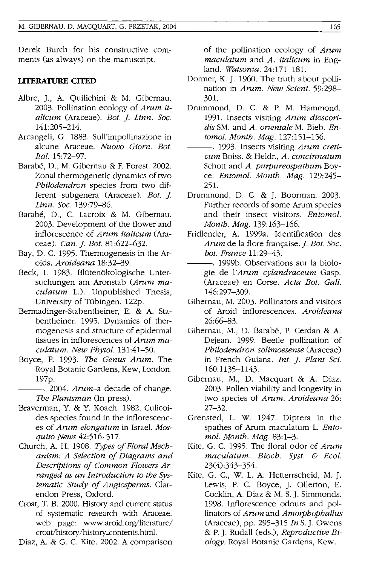Derek Burch for his constructive comments (as always) on the manuscript.

#### **llTERATURE CITED**

- Albre, J., A. Quilichini & M. Gibernau. 2003. Pollination ecology of *Arum* it*alicum* (Araceae). *Bot. j. Linn. Soc.*  141:205-214.
- Arcangeli, G. 1883. Sull'impollinazione in alcune Araceae. *Nuovo Giorn. Bot. Ital. 15:72-97.*
- Barabé, D., M. Gibernau & F. Forest. 2002. Zonal thermogenetic dynamics of two *Philodendron* species from two different subgenera (Araceae). *Bot. j. Linn. Soc. 139:79-86.*
- Barabe, D., C. Lacroix & M. Gibernau. 2003. Development of the flower and inflorescence of *Arum italicum* (Araceae). *Can. j. Bot. 81:622-632.*
- Bay, D. C. 1995. Thermogenesis in the Aroids. *Aroideana 18:32-39.*
- Beck, I. 1983. Blütenökologische Untersuchungen am Aronstab *(Arum ma*culatum L.). Unpublished Thesis, University of Tiibingen. 122p.
- Bermadinger-Stabentheiner, E. & A. Stabentheiner. 1995. Dynamics of thermogenesis and structure of epidermal tissues in inflorescences of *Arum maculatum. New Phytol. 131:41-50.*
- Boyce, P. 1993. The *Genus Arum.* The Royal Botanic Gardens, Kew, London. 197p.
	- ---. 2004. *Arum-a* decade of change. The *Plantsman* (In press).
- Braverman, Y. & Y. Koach. 1982. Culicoides species found in the inflorescences of *Arum elongatum* in Israel. *Mosquito News 42:516-517.*
- Church, A. H. 1908. *Types of Floral Mechanism: A Selection of Diagrams and Descriptions of Common Flowers Arranged as an Introduction to the Systematic Study of Angiosperms.* Clarendon Press, Oxford.
- Croat, T. B. 2000. History and current status of systematic research with Araceae. web page: www.aroid.org/literature/ croat/history/history\_contents.html.
- Diaz, A. & G. C. Kite. 2002. A comparison

of the pollination ecology of *Arum maculatum* and *A. italicum* in England. *Watsonia.24:171-181.* 

- Dormer, K. J. 1960. The truth about pollination in *Arum. New Scient. 59:298-* 301.
- Drummond, D. C. & P. M. Hammond. 1991. Insects visiting *Arum dioscoridis* SM. and *A. orientale* M. Bieb. *Entomol. Month. Mag. 127:151-156.*
- $-$ , 1993. Insects visiting *Arum creticum* Boiss. & Heldr., *A. concinnatum*  Schott and *A. purpureospathum* Boyce. *Entomol. Month. Mag. 129:245-* 251.
- Drummond, D. C. & J. Boorman. 2003. Further records of some Arum species and their insect visitors. *Entomol. Month. Mag. 139:163-166.*
- Fridlender, A. 1999a. Identification des *Arum* de la flore française. *J. Bot. Soc. bot. France 11:29-43.*
- ---. 1999b. Observations sur la biologie de *I'Arum cylandraceum* Gasp. (Araceae) en Corse. *Acta Bot. Gall.*  146:297-309.
- Gibernau, M. 2003. Pollinators and visitors of Aroid inflorescences. *Aroideana*  26:66-83.
- Gibernau, M., D. Barabé, P. Cerdan & A. Dejean. 1999. Beetle pollination of *Philodendron solimoesense* (Araceae) in French Guiana. *Int. j. Plant Sci.*  160:1135-1143.
- Gibernau, M., D. Macquart & A. Diaz. 2003. Pollen viability and longevity in two species of *Arum. Aroideana 26:*  27-32.
- Grensted, 1. W. 1947. Diptera in the spathes of Arum maculatum L. *Entomol. Month. Mag. 83:1-3.*
- Kite, G. C. 1995. The floral odor of *Arum maculatum. Bioch. Syst.* & *Ecol.*  23(4):343-354.
- Kite, G. C., W. 1. A. Hetterrscheid, M. J. Lewis, P. C. Boyce, J. Ollerton, E. Cocklin, A. Diaz & M. S. J. Simmonds. 1998. Inflorescence odours and pollinators of *Arum* and *Amorphophallus*  (Araceae), pp. 295-315 *In* S. J. Owens & P. J. Rudall (eds.), *Reproductive Biology.* Royal Botanic Gardens, Kew.